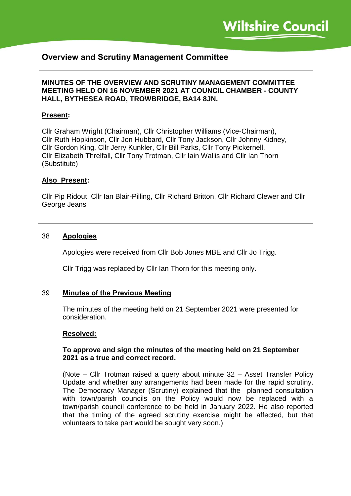# **Overview and Scrutiny Management Committee**

### **MINUTES OF THE OVERVIEW AND SCRUTINY MANAGEMENT COMMITTEE MEETING HELD ON 16 NOVEMBER 2021 AT COUNCIL CHAMBER - COUNTY HALL, BYTHESEA ROAD, TROWBRIDGE, BA14 8JN.**

### **Present:**

Cllr Graham Wright (Chairman), Cllr Christopher Williams (Vice-Chairman), Cllr Ruth Hopkinson, Cllr Jon Hubbard, Cllr Tony Jackson, Cllr Johnny Kidney, Cllr Gordon King, Cllr Jerry Kunkler, Cllr Bill Parks, Cllr Tony Pickernell, Cllr Elizabeth Threlfall, Cllr Tony Trotman, Cllr Iain Wallis and Cllr Ian Thorn (Substitute)

#### **Also Present:**

Cllr Pip Ridout, Cllr Ian Blair-Pilling, Cllr Richard Britton, Cllr Richard Clewer and Cllr George Jeans

### 38 **Apologies**

Apologies were received from Cllr Bob Jones MBE and Cllr Jo Trigg.

Cllr Trigg was replaced by Cllr Ian Thorn for this meeting only.

#### 39 **Minutes of the Previous Meeting**

The minutes of the meeting held on 21 September 2021 were presented for consideration.

#### **Resolved:**

### **To approve and sign the minutes of the meeting held on 21 September 2021 as a true and correct record.**

(Note – Cllr Trotman raised a query about minute 32 – Asset Transfer Policy Update and whether any arrangements had been made for the rapid scrutiny. The Democracy Manager (Scrutiny) explained that the planned consultation with town/parish councils on the Policy would now be replaced with a town/parish council conference to be held in January 2022. He also reported that the timing of the agreed scrutiny exercise might be affected, but that volunteers to take part would be sought very soon.)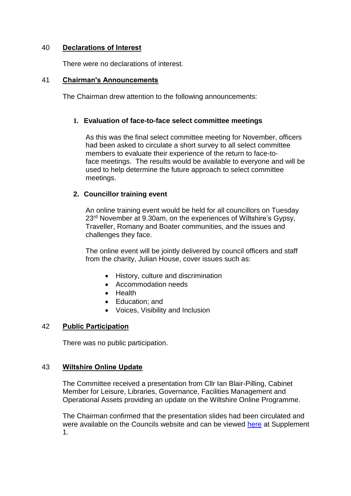# 40 **Declarations of Interest**

There were no declarations of interest.

### 41 **Chairman's Announcements**

The Chairman drew attention to the following announcements:

### **1. Evaluation of face-to-face select committee meetings**

As this was the final select committee meeting for November, officers had been asked to circulate a short survey to all select committee members to evaluate their experience of the return to face-toface meetings. The results would be available to everyone and will be used to help determine the future approach to select committee meetings.

### **2. Councillor training event**

An online training event would be held for all councillors on Tuesday 23rd November at 9.30am, on the experiences of Wiltshire's Gypsy, Traveller, Romany and Boater communities, and the issues and challenges they face.

The online event will be jointly delivered by council officers and staff from the charity, Julian House, cover issues such as:

- History, culture and discrimination
- Accommodation needs
- Health
- Education; and
- Voices, Visibility and Inclusion

#### 42 **Public Participation**

There was no public participation.

#### 43 **Wiltshire Online Update**

The Committee received a presentation from Cllr Ian Blair-Pilling, Cabinet Member for Leisure, Libraries, Governance, Facilities Management and Operational Assets providing an update on the Wiltshire Online Programme.

The Chairman confirmed that the presentation slides had been circulated and were available on the Councils website and can be viewed [here](https://cms.wiltshire.gov.uk/ieListDocuments.aspx?CId=1122&MId=13739&Ver=4) at Supplement 1.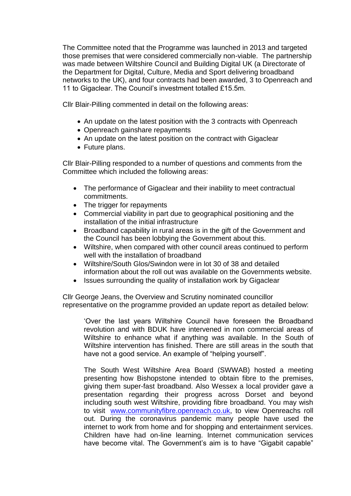The Committee noted that the Programme was launched in 2013 and targeted those premises that were considered commercially non-viable. The partnership was made between Wiltshire Council and Building Digital UK (a Directorate of the Department for Digital, Culture, Media and Sport delivering broadband networks to the UK), and four contracts had been awarded, 3 to Openreach and 11 to Gigaclear. The Council's investment totalled £15.5m.

Cllr Blair-Pilling commented in detail on the following areas:

- An update on the latest position with the 3 contracts with Openreach
- Openreach gainshare repayments
- An update on the latest position on the contract with Gigaclear
- Future plans.

Cllr Blair-Pilling responded to a number of questions and comments from the Committee which included the following areas:

- The performance of Gigaclear and their inability to meet contractual commitments.
- The trigger for repayments
- Commercial viability in part due to geographical positioning and the installation of the initial infrastructure
- Broadband capability in rural areas is in the gift of the Government and the Council has been lobbying the Government about this.
- Wiltshire, when compared with other council areas continued to perform well with the installation of broadband
- Wiltshire/South Glos/Swindon were in lot 30 of 38 and detailed information about the roll out was available on the Governments website.
- Issues surrounding the quality of installation work by Gigaclear

Cllr George Jeans, the Overview and Scrutiny nominated councillor representative on the programme provided an update report as detailed below:

'Over the last years Wiltshire Council have foreseen the Broadband revolution and with BDUK have intervened in non commercial areas of Wiltshire to enhance what if anything was available. In the South of Wiltshire intervention has finished. There are still areas in the south that have not a good service. An example of "helping yourself".

The South West Wiltshire Area Board (SWWAB) hosted a meeting presenting how Bishopstone intended to obtain fibre to the premises, giving them super-fast broadband. Also Wessex a local provider gave a presentation regarding their progress across Dorset and beyond including south west Wiltshire, providing fibre broadband. You may wish to visit [www.communityfibre.openreach.co.uk,](https://eur02.safelinks.protection.outlook.com/?url=http%3A%2F%2Fwww.communityfibre.openreach.co.uk%2F&data=04%7C01%7CStuart.Figini%40wiltshire.gov.uk%7C537a72553e8d4c8f635308d9a8f51863%7C5546e75e3be14813b0ff26651ea2fe19%7C0%7C0%7C637726592888265677%7CUnknown%7CTWFpbGZsb3d8eyJWIjoiMC4wLjAwMDAiLCJQIjoiV2luMzIiLCJBTiI6Ik1haWwiLCJXVCI6Mn0%3D%7C3000&sdata=%2BLbVPKyN%2Bzn0upJCiPHSWddSQU3GULl6eHQGEVhG5DQ%3D&reserved=0) to view Openreachs roll out. During the coronavirus pandemic many people have used the internet to work from home and for shopping and entertainment services. Children have had on-line learning. Internet communication services have become vital. The Government's aim is to have "Gigabit capable"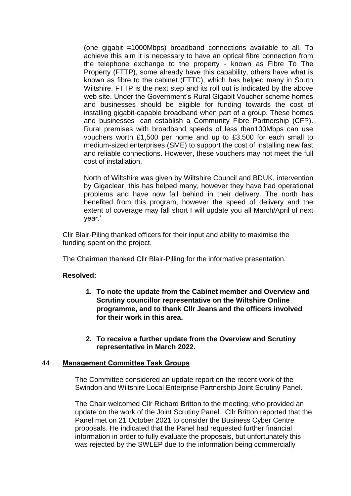(one gigabit =1000Mbps) broadband connections available to all. To achieve this aim it is necessary to have an optical fibre connection from the telephone exchange to the property - known as Fibre To The Property (FTTP), some already have this capability, others have what is known as fibre to the cabinet (FTTC), which has helped many in South Wiltshire. FTTP is the next step and its roll out is indicated by the above web site. Under the Government's Rural Gigabit Voucher scheme homes and businesses should be eligible for funding towards the cost of installing gigabit-capable broadband when part of a group. These homes and businesses can establish a Community Fibre Partnership (CFP). Rural premises with broadband speeds of less than100Mbps can use vouchers worth £1,500 per home and up to £3,500 for each small to medium-sized enterprises (SME) to support the cost of installing new fast and reliable connections. However, these vouchers may not meet the full cost of installation.

North of Wiltshire was given by Wiltshire Council and BDUK, intervention by Gigaclear, this has helped many, however they have had operational problems and have now fall behind in their delivery. The north has benefited from this program, however the speed of delivery and the extent of coverage may fall short I will update you all March/April of next year.'

Cllr Blair-Piling thanked officers for their input and ability to maximise the funding spent on the project.

The Chairman thanked Cllr Blair-Pilling for the informative presentation.

# **Resolved:**

- **1. To note the update from the Cabinet member and Overview and Scrutiny councillor representative on the Wiltshire Online programme, and to thank Cllr Jeans and the officers involved for their work in this area.**
- **2. To receive a further update from the Overview and Scrutiny representative in March 2022.**

#### 44 **Management Committee Task Groups**

The Committee considered an update report on the recent work of the Swindon and Wiltshire Local Enterprise Partnership Joint Scrutiny Panel.

The Chair welcomed Cllr Richard Britton to the meeting, who provided an update on the work of the Joint Scrutiny Panel. Cllr Britton reported that the Panel met on 21 October 2021 to consider the Business Cyber Centre proposals. He indicated that the Panel had requested further financial information in order to fully evaluate the proposals, but unfortunately this was rejected by the SWLEP due to the information being commercially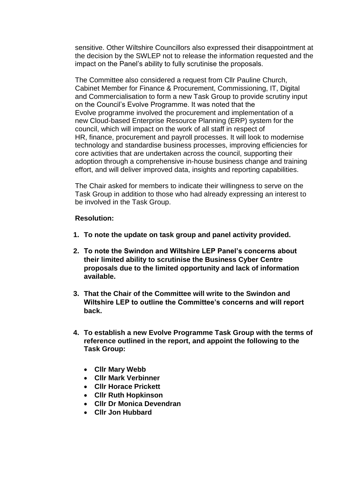sensitive. Other Wiltshire Councillors also expressed their disappointment at the decision by the SWLEP not to release the information requested and the impact on the Panel's ability to fully scrutinise the proposals.

The Committee also considered a request from Cllr Pauline Church, Cabinet Member for Finance & Procurement, Commissioning, IT, Digital and Commercialisation to form a new Task Group to provide scrutiny input on the Council's Evolve Programme. It was noted that the Evolve programme involved the procurement and implementation of a new Cloud-based Enterprise Resource Planning (ERP) system for the council, which will impact on the work of all staff in respect of HR, finance, procurement and payroll processes. It will look to modernise technology and standardise business processes, improving efficiencies for core activities that are undertaken across the council, supporting their adoption through a comprehensive in-house business change and training effort, and will deliver improved data, insights and reporting capabilities.

The Chair asked for members to indicate their willingness to serve on the Task Group in addition to those who had already expressing an interest to be involved in the Task Group.

#### **Resolution:**

- **1. To note the update on task group and panel activity provided.**
- **2. To note the Swindon and Wiltshire LEP Panel's concerns about their limited ability to scrutinise the Business Cyber Centre proposals due to the limited opportunity and lack of information available.**
- **3. That the Chair of the Committee will write to the Swindon and Wiltshire LEP to outline the Committee's concerns and will report back.**
- **4. To establish a new Evolve Programme Task Group with the terms of reference outlined in the report, and appoint the following to the Task Group:**
	- **Cllr Mary Webb**
	- **Cllr Mark Verbinner**
	- **Cllr Horace Prickett**
	- **Cllr Ruth Hopkinson**
	- **Cllr Dr Monica Devendran**
	- **Cllr Jon Hubbard**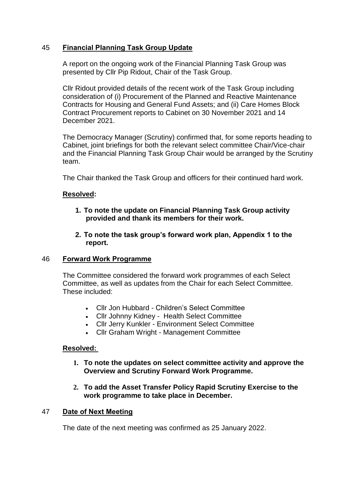# 45 **Financial Planning Task Group Update**

A report on the ongoing work of the Financial Planning Task Group was presented by Cllr Pip Ridout, Chair of the Task Group.

Cllr Ridout provided details of the recent work of the Task Group including consideration of (i) Procurement of the Planned and Reactive Maintenance Contracts for Housing and General Fund Assets; and (ii) Care Homes Block Contract Procurement reports to Cabinet on 30 November 2021 and 14 December 2021.

The Democracy Manager (Scrutiny) confirmed that, for some reports heading to Cabinet, joint briefings for both the relevant select committee Chair/Vice-chair and the Financial Planning Task Group Chair would be arranged by the Scrutiny team.

The Chair thanked the Task Group and officers for their continued hard work.

# **Resolved:**

- **1. To note the update on Financial Planning Task Group activity provided and thank its members for their work.**
- **2. To note the task group's forward work plan, Appendix 1 to the report.**

# 46 **Forward Work Programme**

The Committee considered the forward work programmes of each Select Committee, as well as updates from the Chair for each Select Committee. These included:

- Cllr Jon Hubbard Children's Select Committee
- Cllr Johnny Kidney Health Select Committee
- Cllr Jerry Kunkler Environment Select Committee
- Cllr Graham Wright Management Committee

# **Resolved:**

- **1. To note the updates on select committee activity and approve the Overview and Scrutiny Forward Work Programme.**
- **2. To add the Asset Transfer Policy Rapid Scrutiny Exercise to the work programme to take place in December.**

# 47 **Date of Next Meeting**

The date of the next meeting was confirmed as 25 January 2022.